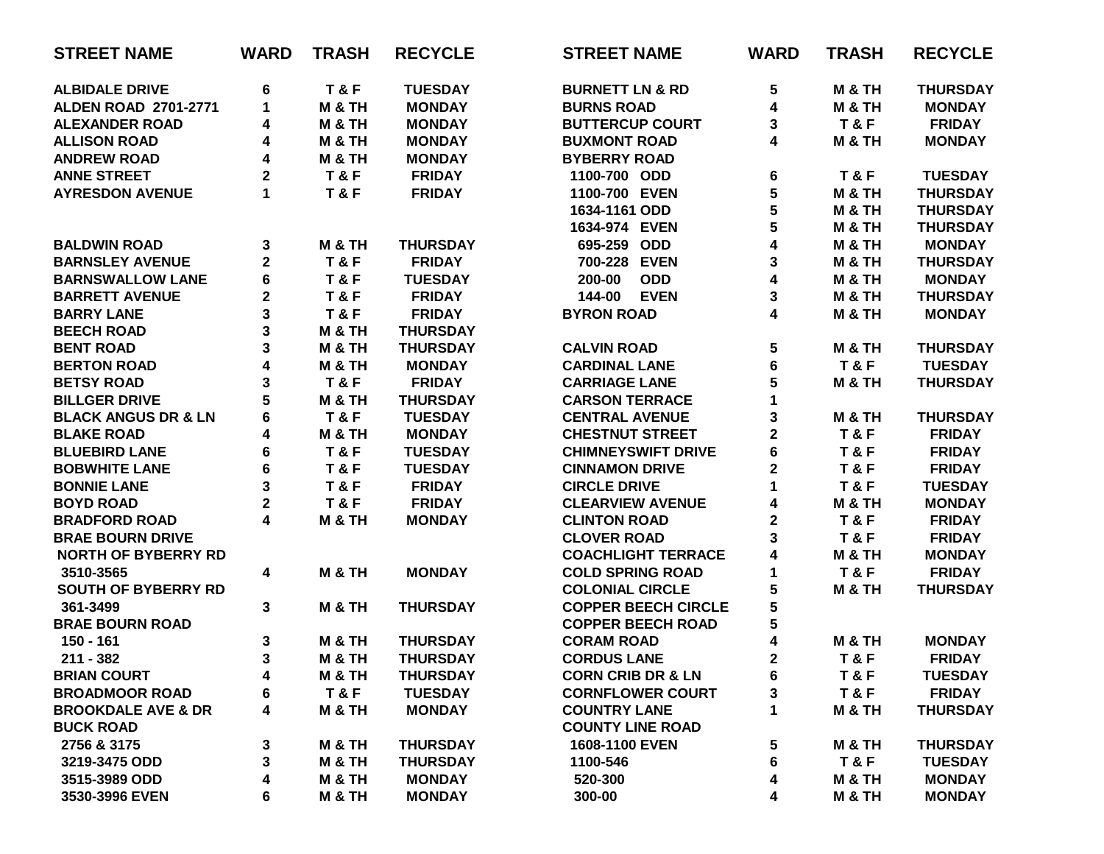| <b>STREET NAME</b>             | <b>WARD</b>             | <b>TRASH</b>      | <b>RECYCLE</b>  | <b>STREET NAME</b>           | <b>WARD</b>  | <b>TRASH</b>      | <b>RECYCLE</b>  |
|--------------------------------|-------------------------|-------------------|-----------------|------------------------------|--------------|-------------------|-----------------|
| <b>ALBIDALE DRIVE</b>          | 6                       | T&F               | <b>TUESDAY</b>  | <b>BURNETT LN &amp; RD</b>   | 5            | <b>M &amp; TH</b> | <b>THURSDAY</b> |
| <b>ALDEN ROAD 2701-2771</b>    | $\mathbf 1$             | <b>M &amp; TH</b> | <b>MONDAY</b>   | <b>BURNS ROAD</b>            | 4            | <b>M &amp; TH</b> | <b>MONDAY</b>   |
| <b>ALEXANDER ROAD</b>          | 4                       | <b>M &amp; TH</b> | <b>MONDAY</b>   | <b>BUTTERCUP COURT</b>       | 3            | T&F               | <b>FRIDAY</b>   |
| <b>ALLISON ROAD</b>            | 4                       | <b>M &amp; TH</b> | <b>MONDAY</b>   | <b>BUXMONT ROAD</b>          | 4            | <b>M &amp; TH</b> | <b>MONDAY</b>   |
| <b>ANDREW ROAD</b>             | 4                       | M & TH            | <b>MONDAY</b>   | <b>BYBERRY ROAD</b>          |              |                   |                 |
| <b>ANNE STREET</b>             | 2                       | T&F               | <b>FRIDAY</b>   | 1100-700 ODD                 | 6            | T&F               | <b>TUESDAY</b>  |
| <b>AYRESDON AVENUE</b>         | 1                       | T&F               | <b>FRIDAY</b>   | 1100-700 EVEN                | 5            | <b>M &amp; TH</b> | <b>THURSDAY</b> |
|                                |                         |                   |                 | 1634-1161 ODD                | 5            | <b>M &amp; TH</b> | <b>THURSDAY</b> |
|                                |                         |                   |                 | 1634-974 EVEN                | 5            | M & TH            | <b>THURSDAY</b> |
| <b>BALDWIN ROAD</b>            | 3                       | <b>M &amp; TH</b> | <b>THURSDAY</b> | 695-259 ODD                  | 4            | <b>M &amp; TH</b> | <b>MONDAY</b>   |
| <b>BARNSLEY AVENUE</b>         | $\overline{\mathbf{2}}$ | T&F               | <b>FRIDAY</b>   | 700-228 EVEN                 | 3            | <b>M &amp; TH</b> | <b>THURSDAY</b> |
| <b>BARNSWALLOW LANE</b>        | 6                       | T&F               | <b>TUESDAY</b>  | <b>ODD</b><br>200-00         | 4            | <b>M &amp; TH</b> | <b>MONDAY</b>   |
| <b>BARRETT AVENUE</b>          | 2                       | T&F               | <b>FRIDAY</b>   | 144-00<br><b>EVEN</b>        | 3            | <b>M &amp; TH</b> | <b>THURSDAY</b> |
| <b>BARRY LANE</b>              | 3                       | T&F               | <b>FRIDAY</b>   | <b>BYRON ROAD</b>            | 4            | <b>M &amp; TH</b> | <b>MONDAY</b>   |
| <b>BEECH ROAD</b>              | 3                       | <b>M &amp; TH</b> | <b>THURSDAY</b> |                              |              |                   |                 |
| <b>BENT ROAD</b>               | 3                       | <b>M &amp; TH</b> | <b>THURSDAY</b> | <b>CALVIN ROAD</b>           | 5            | <b>M &amp; TH</b> | <b>THURSDAY</b> |
| <b>BERTON ROAD</b>             | 4                       | <b>M &amp; TH</b> | <b>MONDAY</b>   | <b>CARDINAL LANE</b>         | $\bf 6$      | T&F               | <b>TUESDAY</b>  |
| <b>BETSY ROAD</b>              | 3                       | T&F               | <b>FRIDAY</b>   | <b>CARRIAGE LANE</b>         | 5            | <b>M &amp; TH</b> | <b>THURSDAY</b> |
| <b>BILLGER DRIVE</b>           | 5                       | <b>M &amp; TH</b> | <b>THURSDAY</b> | <b>CARSON TERRACE</b>        | 1            |                   |                 |
| <b>BLACK ANGUS DR &amp; LN</b> | 6                       | T&F               | <b>TUESDAY</b>  | <b>CENTRAL AVENUE</b>        | 3            | <b>M &amp; TH</b> | <b>THURSDAY</b> |
| <b>BLAKE ROAD</b>              | 4                       | <b>M &amp; TH</b> | <b>MONDAY</b>   | <b>CHESTNUT STREET</b>       | $\mathbf 2$  | T&F               | <b>FRIDAY</b>   |
| <b>BLUEBIRD LANE</b>           | 6                       | T&F               | <b>TUESDAY</b>  | <b>CHIMNEYSWIFT DRIVE</b>    | 6            | T&F               | <b>FRIDAY</b>   |
| <b>BOBWHITE LANE</b>           | 6                       | T&F               | <b>TUESDAY</b>  | <b>CINNAMON DRIVE</b>        | $\mathbf 2$  | T&F               | <b>FRIDAY</b>   |
| <b>BONNIE LANE</b>             | 3                       | T&F               | <b>FRIDAY</b>   | <b>CIRCLE DRIVE</b>          | $\mathbf 1$  | T&F               | <b>TUESDAY</b>  |
| <b>BOYD ROAD</b>               | $\overline{\mathbf{2}}$ | <b>T&amp;F</b>    | <b>FRIDAY</b>   | <b>CLEARVIEW AVENUE</b>      | 4            | <b>M &amp; TH</b> | <b>MONDAY</b>   |
| <b>BRADFORD ROAD</b>           | 4                       | <b>M &amp; TH</b> | <b>MONDAY</b>   | <b>CLINTON ROAD</b>          | $\mathbf 2$  | T&F               | <b>FRIDAY</b>   |
| <b>BRAE BOURN DRIVE</b>        |                         |                   |                 | <b>CLOVER ROAD</b>           | 3            | T&F               | <b>FRIDAY</b>   |
| <b>NORTH OF BYBERRY RD</b>     |                         |                   |                 | <b>COACHLIGHT TERRACE</b>    | 4            | <b>M &amp; TH</b> | <b>MONDAY</b>   |
| 3510-3565                      | 4                       | <b>M &amp; TH</b> | <b>MONDAY</b>   | <b>COLD SPRING ROAD</b>      | 1            | T&F               | <b>FRIDAY</b>   |
| <b>SOUTH OF BYBERRY RD</b>     |                         |                   |                 | <b>COLONIAL CIRCLE</b>       | 5            | <b>M &amp; TH</b> | <b>THURSDAY</b> |
| 361-3499                       | 3                       | <b>M &amp; TH</b> | <b>THURSDAY</b> | <b>COPPER BEECH CIRCLE</b>   | 5            |                   |                 |
| <b>BRAE BOURN ROAD</b>         |                         |                   |                 | <b>COPPER BEECH ROAD</b>     | 5            |                   |                 |
| 150 - 161                      | 3                       | <b>M &amp; TH</b> | <b>THURSDAY</b> | <b>CORAM ROAD</b>            | 4            | <b>M &amp; TH</b> | <b>MONDAY</b>   |
| $211 - 382$                    | 3                       | M & TH            | <b>THURSDAY</b> | <b>CORDUS LANE</b>           | $\mathbf{2}$ | T&F               | <b>FRIDAY</b>   |
| <b>BRIAN COURT</b>             | 4                       | M & TH            | <b>THURSDAY</b> | <b>CORN CRIB DR &amp; LN</b> | 6            | <b>T&amp;F</b>    | <b>TUESDAY</b>  |
| <b>BROADMOOR ROAD</b>          | 6                       | T&F               | <b>TUESDAY</b>  | <b>CORNFLOWER COURT</b>      | 3            | T&F               | <b>FRIDAY</b>   |
| <b>BROOKDALE AVE &amp; DR</b>  | 4                       | <b>M &amp; TH</b> | <b>MONDAY</b>   | <b>COUNTRY LANE</b>          | 1            | M & TH            | <b>THURSDAY</b> |
| <b>BUCK ROAD</b>               |                         |                   |                 | <b>COUNTY LINE ROAD</b>      |              |                   |                 |
| 2756 & 3175                    | 3                       | M & TH            | <b>THURSDAY</b> | 1608-1100 EVEN               | 5            | M & TH            | <b>THURSDAY</b> |
| 3219-3475 ODD                  | 3                       | M & TH            | <b>THURSDAY</b> | 1100-546                     | 6            | T&F               | <b>TUESDAY</b>  |
| 3515-3989 ODD                  | 4                       | <b>M &amp; TH</b> | <b>MONDAY</b>   | 520-300                      | 4            | M & TH            | <b>MONDAY</b>   |
| 3530-3996 EVEN                 | 6                       | M & TH            | <b>MONDAY</b>   | 300-00                       | 4            | M & TH            | <b>MONDAY</b>   |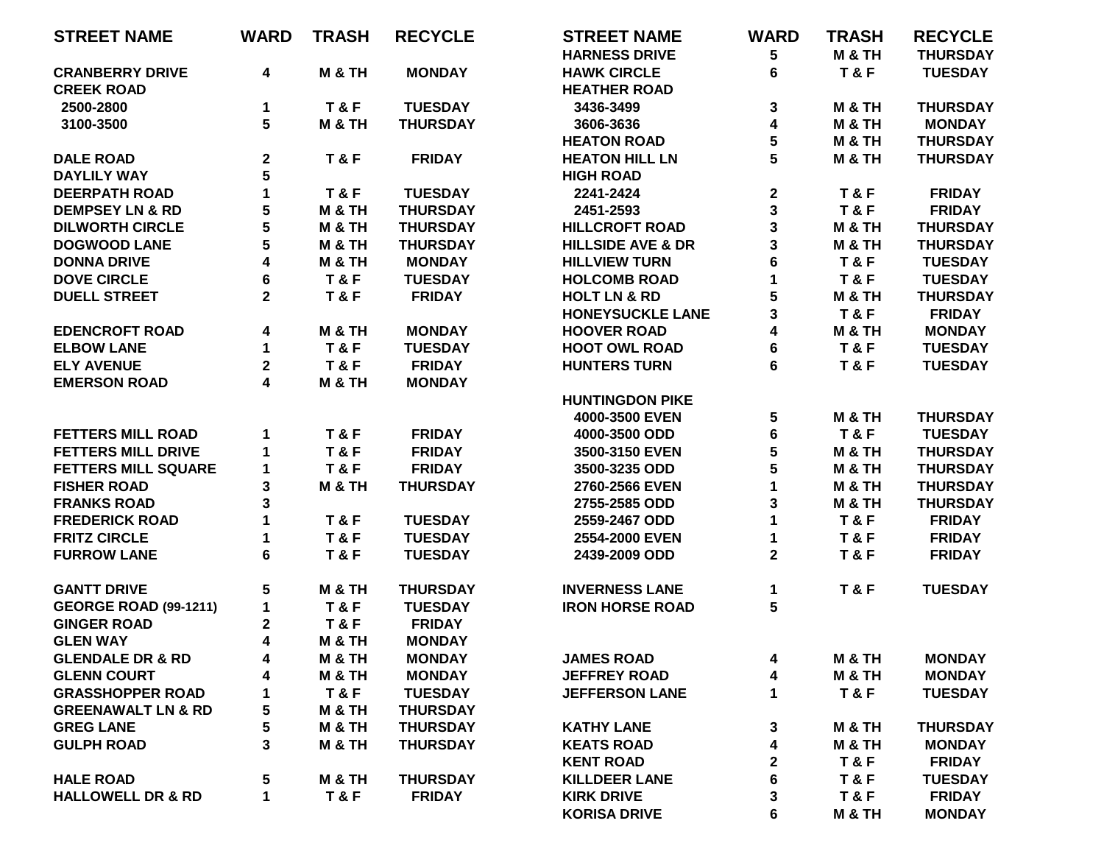| <b>STREET NAME</b>            | <b>WARD</b> | <b>TRASH</b>      | <b>RECYCLE</b>  | <b>STREET NAME</b>           | <b>WARD</b>             | <b>TRASH</b>      | <b>RECYCLE</b>  |
|-------------------------------|-------------|-------------------|-----------------|------------------------------|-------------------------|-------------------|-----------------|
|                               |             |                   |                 | <b>HARNESS DRIVE</b>         | 5                       | M & TH            | <b>THURSDAY</b> |
| <b>CRANBERRY DRIVE</b>        | 4           | <b>M &amp; TH</b> | <b>MONDAY</b>   | <b>HAWK CIRCLE</b>           | 6                       | T&F               | <b>TUESDAY</b>  |
| <b>CREEK ROAD</b>             |             |                   |                 | <b>HEATHER ROAD</b>          |                         |                   |                 |
| 2500-2800                     | 1           | T&F               | <b>TUESDAY</b>  | 3436-3499                    | 3                       | <b>M &amp; TH</b> | <b>THURSDAY</b> |
| 3100-3500                     | 5           | M & TH            | <b>THURSDAY</b> | 3606-3636                    | 4                       | M & TH            | <b>MONDAY</b>   |
|                               |             |                   |                 | <b>HEATON ROAD</b>           | 5                       | <b>M &amp; TH</b> | <b>THURSDAY</b> |
| <b>DALE ROAD</b>              | $\mathbf 2$ | T&F               | <b>FRIDAY</b>   | <b>HEATON HILL LN</b>        | 5                       | M & TH            | <b>THURSDAY</b> |
| <b>DAYLILY WAY</b>            | 5           |                   |                 | <b>HIGH ROAD</b>             |                         |                   |                 |
| <b>DEERPATH ROAD</b>          | 1           | T&F               | <b>TUESDAY</b>  | 2241-2424                    | $\mathbf 2$             | T&F               | <b>FRIDAY</b>   |
| <b>DEMPSEY LN &amp; RD</b>    | 5           | M & TH            | <b>THURSDAY</b> | 2451-2593                    | $\overline{\mathbf{3}}$ | T&F               | <b>FRIDAY</b>   |
| <b>DILWORTH CIRCLE</b>        | 5           | M & TH            | <b>THURSDAY</b> | <b>HILLCROFT ROAD</b>        | $\overline{\mathbf{3}}$ | <b>M &amp; TH</b> | <b>THURSDAY</b> |
| <b>DOGWOOD LANE</b>           | 5           | <b>M &amp; TH</b> | <b>THURSDAY</b> | <b>HILLSIDE AVE &amp; DR</b> | 3                       | M & TH            | <b>THURSDAY</b> |
| <b>DONNA DRIVE</b>            | 4           | <b>M &amp; TH</b> | <b>MONDAY</b>   | <b>HILLVIEW TURN</b>         | 6                       | T&F               | <b>TUESDAY</b>  |
| <b>DOVE CIRCLE</b>            | 6           | T&F               | <b>TUESDAY</b>  | <b>HOLCOMB ROAD</b>          | 1                       | <b>T&amp;F</b>    | <b>TUESDAY</b>  |
| <b>DUELL STREET</b>           | $\mathbf 2$ | T&F               | <b>FRIDAY</b>   | <b>HOLT LN &amp; RD</b>      | 5                       | <b>M &amp; TH</b> | <b>THURSDAY</b> |
|                               |             |                   |                 | <b>HONEYSUCKLE LANE</b>      | 3                       | T&F               | <b>FRIDAY</b>   |
| <b>EDENCROFT ROAD</b>         |             | <b>M &amp; TH</b> | <b>MONDAY</b>   | <b>HOOVER ROAD</b>           | 4                       | M & TH            | <b>MONDAY</b>   |
| <b>ELBOW LANE</b>             | 4           |                   |                 |                              |                         |                   |                 |
|                               | 1           | T&F               | <b>TUESDAY</b>  | <b>HOOT OWL ROAD</b>         | 6                       | T&F               | <b>TUESDAY</b>  |
| <b>ELY AVENUE</b>             | $\mathbf 2$ | T&F               | <b>FRIDAY</b>   | <b>HUNTERS TURN</b>          | 6                       | T&F               | <b>TUESDAY</b>  |
| <b>EMERSON ROAD</b>           | 4           | M & TH            | <b>MONDAY</b>   |                              |                         |                   |                 |
|                               |             |                   |                 | <b>HUNTINGDON PIKE</b>       |                         |                   |                 |
|                               |             |                   |                 | 4000-3500 EVEN               | 5                       | M & TH            | <b>THURSDAY</b> |
| <b>FETTERS MILL ROAD</b>      | 1           | <b>T&amp;F</b>    | <b>FRIDAY</b>   | 4000-3500 ODD                | 6                       | T&F               | <b>TUESDAY</b>  |
| <b>FETTERS MILL DRIVE</b>     | 1           | T&F               | <b>FRIDAY</b>   | 3500-3150 EVEN               | 5                       | <b>M &amp; TH</b> | <b>THURSDAY</b> |
| <b>FETTERS MILL SQUARE</b>    | 1           | T&F               | <b>FRIDAY</b>   | 3500-3235 ODD                | 5                       | M & TH            | <b>THURSDAY</b> |
| <b>FISHER ROAD</b>            | 3           | <b>M &amp; TH</b> | <b>THURSDAY</b> | 2760-2566 EVEN               | 1                       | <b>M &amp; TH</b> | <b>THURSDAY</b> |
| <b>FRANKS ROAD</b>            | 3           |                   |                 | 2755-2585 ODD                | 3                       | M & TH            | <b>THURSDAY</b> |
| <b>FREDERICK ROAD</b>         | 1           | T&F               | <b>TUESDAY</b>  | 2559-2467 ODD                | 1                       | T&F               | <b>FRIDAY</b>   |
| <b>FRITZ CIRCLE</b>           | 1           | T&F               | <b>TUESDAY</b>  | 2554-2000 EVEN               | 1                       | T&F               | <b>FRIDAY</b>   |
| <b>FURROW LANE</b>            | 6           | T&F               | <b>TUESDAY</b>  | 2439-2009 ODD                | $\mathbf 2$             | T&F               | <b>FRIDAY</b>   |
| <b>GANTT DRIVE</b>            | 5           | M & TH            | <b>THURSDAY</b> | <b>INVERNESS LANE</b>        | 1                       | T&F               | <b>TUESDAY</b>  |
| <b>GEORGE ROAD (99-1211)</b>  | $\mathbf 1$ | T&F               | <b>TUESDAY</b>  | <b>IRON HORSE ROAD</b>       | 5                       |                   |                 |
| <b>GINGER ROAD</b>            | 2           | T&F               | <b>FRIDAY</b>   |                              |                         |                   |                 |
| <b>GLEN WAY</b>               | 4           | <b>M &amp; TH</b> | <b>MONDAY</b>   |                              |                         |                   |                 |
| <b>GLENDALE DR &amp; RD</b>   | 4           | <b>M &amp; TH</b> | <b>MONDAY</b>   | <b>JAMES ROAD</b>            | 4                       | <b>M &amp; TH</b> | <b>MONDAY</b>   |
| <b>GLENN COURT</b>            | 4           | <b>M &amp; TH</b> | <b>MONDAY</b>   | <b>JEFFREY ROAD</b>          | 4                       | M & TH            | <b>MONDAY</b>   |
| <b>GRASSHOPPER ROAD</b>       | 1           | T&F               | <b>TUESDAY</b>  | <b>JEFFERSON LANE</b>        | 1                       | T&F               | <b>TUESDAY</b>  |
| <b>GREENAWALT LN &amp; RD</b> | 5           | M & TH            | <b>THURSDAY</b> |                              |                         |                   |                 |
| <b>GREG LANE</b>              | 5           | <b>M &amp; TH</b> | <b>THURSDAY</b> | <b>KATHY LANE</b>            | 3                       | M & TH            | <b>THURSDAY</b> |
| <b>GULPH ROAD</b>             | 3           | <b>M &amp; TH</b> | <b>THURSDAY</b> | <b>KEATS ROAD</b>            | 4                       | <b>M &amp; TH</b> | <b>MONDAY</b>   |
|                               |             |                   |                 | <b>KENT ROAD</b>             | $\boldsymbol{2}$        | T&F               | <b>FRIDAY</b>   |
| <b>HALE ROAD</b>              | 5           | M & TH            | <b>THURSDAY</b> | <b>KILLDEER LANE</b>         | 6                       | T&F               | <b>TUESDAY</b>  |
| <b>HALLOWELL DR &amp; RD</b>  | $\mathbf 1$ | T&F               | <b>FRIDAY</b>   | <b>KIRK DRIVE</b>            | 3                       | T&F               | <b>FRIDAY</b>   |
|                               |             |                   |                 | <b>KORISA DRIVE</b>          | 6                       | M & TH            | <b>MONDAY</b>   |
|                               |             |                   |                 |                              |                         |                   |                 |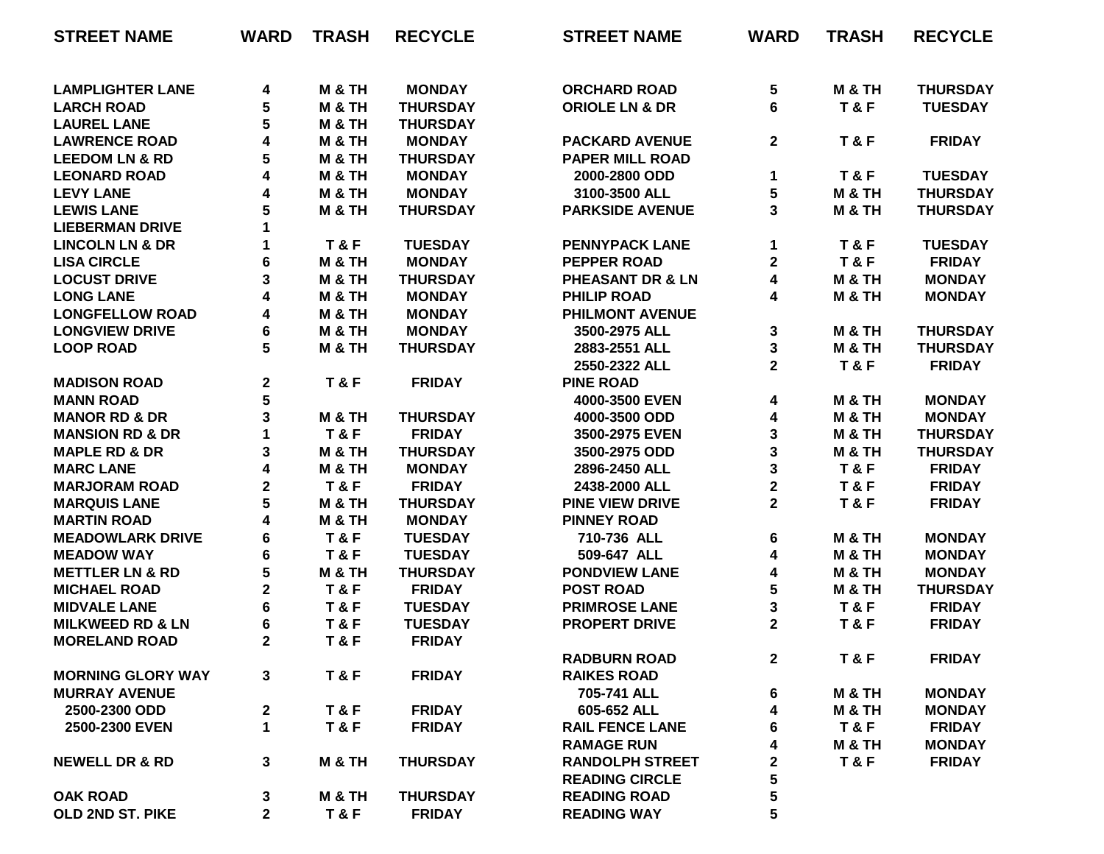| <b>STREET NAME</b>                           | <b>WARD</b>    | <b>TRASH</b>      | <b>RECYCLE</b>  | <b>STREET NAME</b>                              | <b>WARD</b>             | <b>TRASH</b>      | <b>RECYCLE</b>  |
|----------------------------------------------|----------------|-------------------|-----------------|-------------------------------------------------|-------------------------|-------------------|-----------------|
|                                              |                | <b>M &amp; TH</b> | <b>MONDAY</b>   | <b>ORCHARD ROAD</b>                             |                         | M & TH            | <b>THURSDAY</b> |
| <b>LAMPLIGHTER LANE</b><br><b>LARCH ROAD</b> | 4<br>5         | <b>M &amp; TH</b> | <b>THURSDAY</b> | <b>ORIOLE LN &amp; DR</b>                       | 5<br>6                  | T&F               | <b>TUESDAY</b>  |
| <b>LAUREL LANE</b>                           | 5              | M & TH            | <b>THURSDAY</b> |                                                 |                         |                   |                 |
| <b>LAWRENCE ROAD</b>                         |                | M & TH            | <b>MONDAY</b>   |                                                 |                         | <b>T&amp;F</b>    |                 |
|                                              | 4<br>5         |                   |                 | <b>PACKARD AVENUE</b><br><b>PAPER MILL ROAD</b> | $\mathbf{2}$            |                   | <b>FRIDAY</b>   |
| <b>LEEDOM LN &amp; RD</b>                    |                | M & TH            | <b>THURSDAY</b> |                                                 |                         |                   |                 |
| <b>LEONARD ROAD</b>                          | 4              | M & TH            | <b>MONDAY</b>   | 2000-2800 ODD                                   | 1                       | T&F               | <b>TUESDAY</b>  |
| <b>LEVY LANE</b>                             | 4              | <b>M &amp; TH</b> | <b>MONDAY</b>   | 3100-3500 ALL                                   | 5                       | <b>M &amp; TH</b> | <b>THURSDAY</b> |
| <b>LEWIS LANE</b>                            | 5              | <b>M &amp; TH</b> | <b>THURSDAY</b> | <b>PARKSIDE AVENUE</b>                          | 3                       | <b>M &amp; TH</b> | <b>THURSDAY</b> |
| <b>LIEBERMAN DRIVE</b>                       | 1              |                   |                 |                                                 |                         |                   |                 |
| <b>LINCOLN LN &amp; DR</b>                   | 1              | T&F               | <b>TUESDAY</b>  | <b>PENNYPACK LANE</b>                           | 1                       | <b>T&amp;F</b>    | <b>TUESDAY</b>  |
| <b>LISA CIRCLE</b>                           | 6              | <b>M &amp; TH</b> | <b>MONDAY</b>   | <b>PEPPER ROAD</b>                              | $\overline{\mathbf{2}}$ | T&F               | <b>FRIDAY</b>   |
| <b>LOCUST DRIVE</b>                          | 3              | M & TH            | <b>THURSDAY</b> | PHEASANT DR & LN                                | 4                       | <b>M &amp; TH</b> | <b>MONDAY</b>   |
| <b>LONG LANE</b>                             | 4              | <b>M &amp; TH</b> | <b>MONDAY</b>   | <b>PHILIP ROAD</b>                              | 4                       | <b>M &amp; TH</b> | <b>MONDAY</b>   |
| <b>LONGFELLOW ROAD</b>                       | 4              | <b>M &amp; TH</b> | <b>MONDAY</b>   | <b>PHILMONT AVENUE</b>                          |                         |                   |                 |
| <b>LONGVIEW DRIVE</b>                        | 6              | <b>M &amp; TH</b> | <b>MONDAY</b>   | 3500-2975 ALL                                   | 3                       | M & TH            | <b>THURSDAY</b> |
| <b>LOOP ROAD</b>                             | 5              | M & TH            | <b>THURSDAY</b> | 2883-2551 ALL                                   | 3                       | <b>M &amp; TH</b> | <b>THURSDAY</b> |
|                                              |                |                   |                 | 2550-2322 ALL                                   | $\overline{\mathbf{2}}$ | T&F               | <b>FRIDAY</b>   |
| <b>MADISON ROAD</b>                          | $\mathbf 2$    | <b>T&amp;F</b>    | <b>FRIDAY</b>   | <b>PINE ROAD</b>                                |                         |                   |                 |
| <b>MANN ROAD</b>                             | 5              |                   |                 | 4000-3500 EVEN                                  | 4                       | <b>M &amp; TH</b> | <b>MONDAY</b>   |
| <b>MANOR RD &amp; DR</b>                     | 3              | <b>M &amp; TH</b> | <b>THURSDAY</b> | 4000-3500 ODD                                   | 4                       | <b>M &amp; TH</b> | <b>MONDAY</b>   |
| <b>MANSION RD &amp; DR</b>                   | 1              | T&F               | <b>FRIDAY</b>   | 3500-2975 EVEN                                  | 3                       | M & TH            | <b>THURSDAY</b> |
| <b>MAPLE RD &amp; DR</b>                     | 3              | M & TH            | <b>THURSDAY</b> | 3500-2975 ODD                                   | 3                       | <b>M &amp; TH</b> | <b>THURSDAY</b> |
| <b>MARC LANE</b>                             | 4              | M & TH            | <b>MONDAY</b>   | 2896-2450 ALL                                   | 3                       | T&F               | <b>FRIDAY</b>   |
| <b>MARJORAM ROAD</b>                         | $\mathbf 2$    | T&F               | <b>FRIDAY</b>   | 2438-2000 ALL                                   | $\overline{\mathbf{2}}$ | T&F               | <b>FRIDAY</b>   |
| <b>MARQUIS LANE</b>                          | 5              | M & TH            | <b>THURSDAY</b> | <b>PINE VIEW DRIVE</b>                          | $\overline{\mathbf{2}}$ | T&F               | <b>FRIDAY</b>   |
| <b>MARTIN ROAD</b>                           | 4              | <b>M &amp; TH</b> | <b>MONDAY</b>   | <b>PINNEY ROAD</b>                              |                         |                   |                 |
| <b>MEADOWLARK DRIVE</b>                      | 6              | T&F               | <b>TUESDAY</b>  | 710-736 ALL                                     | 6                       | <b>M &amp; TH</b> | <b>MONDAY</b>   |
| <b>MEADOW WAY</b>                            | 6              | T&F               | <b>TUESDAY</b>  | 509-647 ALL                                     | 4                       | <b>M &amp; TH</b> | <b>MONDAY</b>   |
| <b>METTLER LN &amp; RD</b>                   | 5              | <b>M &amp; TH</b> | <b>THURSDAY</b> | <b>PONDVIEW LANE</b>                            | 4                       | <b>M &amp; TH</b> | <b>MONDAY</b>   |
| <b>MICHAEL ROAD</b>                          | $\mathbf 2$    | T&F               | <b>FRIDAY</b>   | <b>POST ROAD</b>                                | 5                       | <b>M &amp; TH</b> | <b>THURSDAY</b> |
| <b>MIDVALE LANE</b>                          | 6              | T&F               | <b>TUESDAY</b>  | <b>PRIMROSE LANE</b>                            | 3                       | T&F               | <b>FRIDAY</b>   |
| <b>MILKWEED RD &amp; LN</b>                  | 6              | T&F               | <b>TUESDAY</b>  | <b>PROPERT DRIVE</b>                            | $\overline{\mathbf{2}}$ | T&F               | <b>FRIDAY</b>   |
| <b>MORELAND ROAD</b>                         | $\mathbf 2$    | T&F               | <b>FRIDAY</b>   |                                                 |                         |                   |                 |
|                                              |                |                   |                 | <b>RADBURN ROAD</b>                             | $\mathbf{2}$            | T&F               | <b>FRIDAY</b>   |
| <b>MORNING GLORY WAY</b>                     | 3              | T&F               | <b>FRIDAY</b>   | <b>RAIKES ROAD</b>                              |                         |                   |                 |
| <b>MURRAY AVENUE</b>                         |                |                   |                 | 705-741 ALL                                     | 6                       | M & TH            | <b>MONDAY</b>   |
| 2500-2300 ODD                                | $\mathbf 2$    | T&F               | <b>FRIDAY</b>   | 605-652 ALL                                     | 4                       | M & TH            | <b>MONDAY</b>   |
| 2500-2300 EVEN                               | $\mathbf 1$    | T&F               | <b>FRIDAY</b>   | <b>RAIL FENCE LANE</b>                          | 6                       | T&F               | <b>FRIDAY</b>   |
|                                              |                |                   |                 | <b>RAMAGE RUN</b>                               | 4                       | <b>M &amp; TH</b> | <b>MONDAY</b>   |
|                                              |                |                   |                 |                                                 |                         |                   |                 |
| <b>NEWELL DR &amp; RD</b>                    | 3              | <b>M &amp; TH</b> | <b>THURSDAY</b> | <b>RANDOLPH STREET</b>                          | 2                       | T&F               | <b>FRIDAY</b>   |
|                                              |                |                   |                 | <b>READING CIRCLE</b>                           | 5                       |                   |                 |
| <b>OAK ROAD</b>                              | 3              | <b>M &amp; TH</b> | <b>THURSDAY</b> | <b>READING ROAD</b>                             | 5                       |                   |                 |
| OLD 2ND ST. PIKE                             | $\overline{2}$ | <b>T&amp;F</b>    | <b>FRIDAY</b>   | <b>READING WAY</b>                              | 5                       |                   |                 |